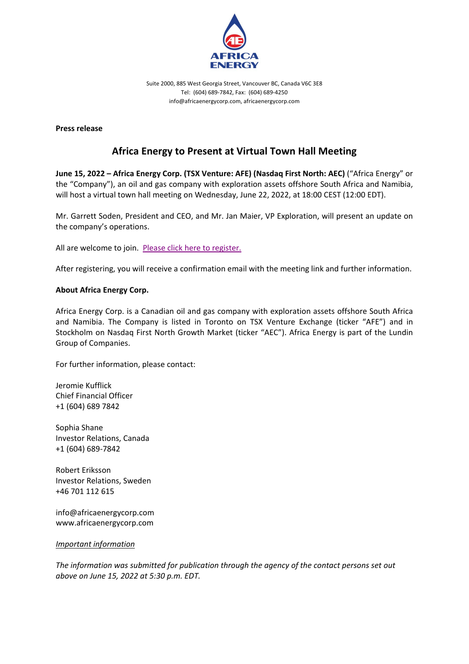

Suite 2000, 885 West Georgia Street, Vancouver BC, Canada V6C 3E8 Tel: (604) 689-7842, Fax: (604) 689-4250 info@africaenergycorp.com, africaenergycorp.com

**Press release**

## **Africa Energy to Present at Virtual Town Hall Meeting**

**June 15, 2022 – Africa Energy Corp. (TSX Venture: AFE) (Nasdaq First North: AEC)** ("Africa Energy" or the "Company"), an oil and gas company with exploration assets offshore South Africa and Namibia, will host a virtual town hall meeting on Wednesday, June 22, 2022, at 18:00 CEST (12:00 EDT).

Mr. Garrett Soden, President and CEO, and Mr. Jan Maier, VP Exploration, will present an update on the company's operations.

All are welcome to join. [Please click here to register.](https://us06web.zoom.us/webinar/register/WN_1cKqIa6TSB-SmgHWV7JTzg)

After registering, you will receive a confirmation email with the meeting link and further information.

## **About Africa Energy Corp.**

Africa Energy Corp. is a Canadian oil and gas company with exploration assets offshore South Africa and Namibia. The Company is listed in Toronto on TSX Venture Exchange (ticker "AFE") and in Stockholm on Nasdaq First North Growth Market (ticker "AEC"). Africa Energy is part of the Lundin Group of Companies.

For further information, please contact:

Jeromie Kufflick Chief Financial Officer +1 (604) 689 7842

Sophia Shane Investor Relations, Canada +1 (604) 689-7842

Robert Eriksson Investor Relations, Sweden +46 701 112 615

info@africaenergycorp.com www.africaenergycorp.com

*Important information*

*The information was submitted for publication through the agency of the contact persons set out above on June 15, 2022 at 5:30 p.m. EDT.*